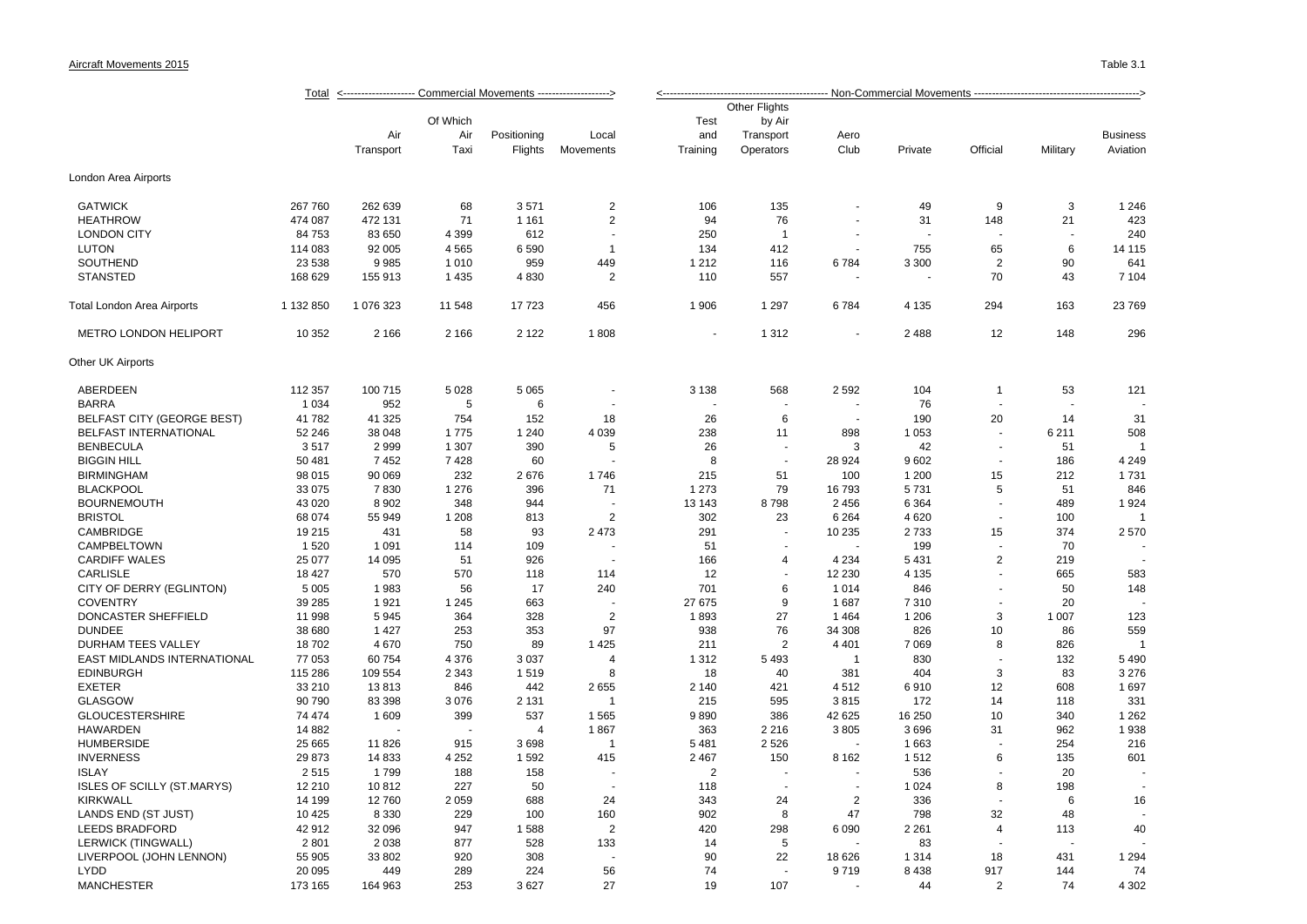|                                   | <------------------- Commercial Movements --------------------><br><u>Total</u> |           |          |                |                          |                |                  |                |         |                |                |                 |  |
|-----------------------------------|---------------------------------------------------------------------------------|-----------|----------|----------------|--------------------------|----------------|------------------|----------------|---------|----------------|----------------|-----------------|--|
|                                   |                                                                                 |           |          |                |                          |                | Other Flights    |                |         |                |                |                 |  |
|                                   |                                                                                 |           | Of Which |                |                          | Test           | by Air           |                |         |                |                |                 |  |
|                                   |                                                                                 | Air       | Air      | Positioning    | Local                    | and            | Transport        | Aero           |         |                |                | <b>Business</b> |  |
|                                   |                                                                                 | Transport | Taxi     | Flights        | Movements                | Training       | Operators        | Club           | Private | Official       | Military       | Aviation        |  |
|                                   |                                                                                 |           |          |                |                          |                |                  |                |         |                |                |                 |  |
| London Area Airports              |                                                                                 |           |          |                |                          |                |                  |                |         |                |                |                 |  |
| <b>GATWICK</b>                    | 267 760                                                                         | 262 639   | 68       | 3571           | $\overline{2}$           | 106            | 135              |                | 49      | 9              | 3              | 1 2 4 6         |  |
| <b>HEATHROW</b>                   | 474 087                                                                         | 472 131   | 71       | 1 1 6 1        | $\overline{2}$           | 94             | 76               |                | 31      | 148            | 21             | 423             |  |
| <b>LONDON CITY</b>                | 84 753                                                                          | 83 650    | 4 3 9 9  | 612            |                          | 250            | $\overline{1}$   |                |         |                |                | 240             |  |
| <b>LUTON</b>                      | 114 083                                                                         | 92 005    | 4565     | 6590           | $\mathbf{1}$             | 134            | 412              | $\blacksquare$ | 755     | 65             | 6              | 14 115          |  |
| SOUTHEND                          | 23 538                                                                          | 9985      | 1 0 1 0  | 959            | 449                      | 1 2 1 2        | 116              | 6784           | 3 3 0 0 | $\overline{2}$ | 90             | 641             |  |
| <b>STANSTED</b>                   | 168 629                                                                         | 155 913   | 1 4 3 5  | 4830           | $\overline{2}$           | 110            | 557              |                |         | 70             | 43             | 7 104           |  |
| Total London Area Airports        | 1 132 850                                                                       | 1 076 323 | 11 548   | 17723          | 456                      | 1 906          | 1 2 9 7          | 6784           | 4 1 3 5 | 294            | 163            | 23769           |  |
|                                   | 10 352                                                                          |           |          | 2 1 2 2        |                          |                |                  |                | 2 4 8 8 |                | 148            | 296             |  |
| <b>METRO LONDON HELIPORT</b>      |                                                                                 | 2 1 6 6   | 2 1 6 6  |                | 1808                     |                | 1 3 1 2          |                |         | 12             |                |                 |  |
| Other UK Airports                 |                                                                                 |           |          |                |                          |                |                  |                |         |                |                |                 |  |
| ABERDEEN                          | 112 357                                                                         | 100 715   | 5 0 28   | 5 0 6 5        |                          | 3 1 3 8        | 568              | 2592           | 104     | 1              | 53             | 121             |  |
| <b>BARRA</b>                      | 1 0 3 4                                                                         | 952       | 5        | 6              |                          |                |                  |                | 76      | $\sim$         | $\overline{a}$ |                 |  |
| <b>BELFAST CITY (GEORGE BEST)</b> | 41 782                                                                          | 41 325    | 754      | 152            | 18                       | 26             | 6                |                | 190     | 20             | 14             | 31              |  |
| <b>BELFAST INTERNATIONAL</b>      | 52 246                                                                          | 38 048    | 1775     | 1 2 4 0        | 4 0 3 9                  | 238            | 11               | 898            | 1 0 5 3 |                | 6 2 1 1        | 508             |  |
| <b>BENBECULA</b>                  | 3517                                                                            | 2999      | 1 307    | 390            | 5                        | 26             |                  | 3              | 42      |                | 51             |                 |  |
| <b>BIGGIN HILL</b>                | 50 481                                                                          | 7452      | 7428     | 60             |                          | 8              | ÷.               | 28 9 24        | 9602    |                | 186            | 4 2 4 9         |  |
| <b>BIRMINGHAM</b>                 | 98 015                                                                          | 90 069    | 232      | 2676           | 1746                     | 215            | 51               | 100            | 1 200   | 15             | 212            | 1731            |  |
| <b>BLACKPOOL</b>                  | 33 075                                                                          | 7830      | 1 2 7 6  | 396            | 71                       | 1 2 7 3        | 79               | 16793          | 5731    | 5              | 51             | 846             |  |
| <b>BOURNEMOUTH</b>                | 43 0 20                                                                         | 8 9 0 2   | 348      | 944            |                          | 13 143         | 8798             | 2 4 5 6        | 6 3 6 4 |                | 489            | 1924            |  |
| <b>BRISTOL</b>                    | 68 074                                                                          | 55 949    | 1 2 0 8  | 813            | $\overline{2}$           | 302            | 23               | 6 2 6 4        | 4620    |                | 100            | $\overline{1}$  |  |
| CAMBRIDGE                         | 19 215                                                                          | 431       | 58       | 93             | 2 4 7 3                  | 291            | $\blacksquare$   | 10 235         | 2733    | 15             | 374            | 2570            |  |
| <b>CAMPBELTOWN</b>                | 1 5 2 0                                                                         | 1 0 9 1   | 114      | 109            |                          | 51             |                  |                | 199     |                | 70             |                 |  |
| <b>CARDIFF WALES</b>              | 25 077                                                                          | 14 095    | 51       | 926            |                          | 166            | $\boldsymbol{4}$ | 4 2 3 4        | 5 4 3 1 | $\overline{2}$ | 219            |                 |  |
| <b>CARLISLE</b>                   | 18 427                                                                          | 570       | 570      | 118            | 114                      | 12             |                  | 12 230         | 4 1 3 5 |                | 665            | 583             |  |
| CITY OF DERRY (EGLINTON)          | 5 0 0 5                                                                         | 1983      | 56       | 17             | 240                      | 701            | 6                | 1014           | 846     |                | 50             | 148             |  |
| <b>COVENTRY</b>                   | 39 285                                                                          | 1921      | 1 2 4 5  | 663            |                          | 27 675         | 9                | 1687           | 7310    |                | 20             |                 |  |
| DONCASTER SHEFFIELD               | 11 998                                                                          | 5945      | 364      | 328            | $\overline{2}$           | 1893           | 27               | 1464           | 1 206   | 3              | 1 0 0 7        | 123             |  |
| <b>DUNDEE</b>                     | 38 680                                                                          | 1427      | 253      | 353            | 97                       | 938            | 76               | 34 308         | 826     | 10             | 86             | 559             |  |
| DURHAM TEES VALLEY                | 18702                                                                           | 4670      | 750      | 89             | 1 4 2 5                  | 211            | 2                | 4 4 0 1        | 7 0 6 9 | 8              | 826            | $\overline{1}$  |  |
| EAST MIDLANDS INTERNATIONAL       | 77 053                                                                          | 60 754    | 4 3 7 6  | 3 0 3 7        | $\overline{4}$           | 1 3 1 2        | 5 4 9 3          | $\overline{1}$ | 830     |                | 132            | 5 4 9 0         |  |
| <b>EDINBURGH</b>                  | 115 286                                                                         | 109 554   | 2 3 4 3  | 1519           | 8                        | 18             | 40               | 381            | 404     | 3              | 83             | 3 2 7 6         |  |
| <b>EXETER</b>                     | 33 210                                                                          | 13813     | 846      | 442            | 2655                     | 2 140          | 421              | 4512           | 6910    | 12             | 608            | 1697            |  |
| <b>GLASGOW</b>                    | 90 790                                                                          | 83 398    | 3076     | 2 1 3 1        | $\mathbf{1}$             | 215            | 595              | 3815           | 172     | 14             | 118            | 331             |  |
| <b>GLOUCESTERSHIRE</b>            | 74 474                                                                          | 1 609     | 399      | 537            | 1565                     | 9890           | 386              | 42 625         | 16 250  | 10             | 340            | 1 2 6 2         |  |
| <b>HAWARDEN</b>                   | 14 8 82                                                                         |           |          | $\overline{4}$ | 1867                     | 363            | 2 2 1 6          | 3805           | 3696    | 31             | 962            | 1938            |  |
| <b>HUMBERSIDE</b>                 | 25 665                                                                          | 11826     | 915      | 3698           | $\mathbf{1}$             | 5 4 8 1        | 2 5 2 6          |                | 1663    |                | 254            | 216             |  |
| <b>INVERNESS</b>                  |                                                                                 |           |          | 1 5 9 2        |                          |                |                  |                |         | 6              | 135            |                 |  |
|                                   | 29 873                                                                          | 14 8 33   | 4 2 5 2  |                | 415                      | 2 4 6 7        | 150              | 8 1 6 2        | 1512    |                |                | 601             |  |
| <b>ISLAY</b>                      | 2515                                                                            | 1799      | 188      | 158            | $\overline{\phantom{a}}$ | $\overline{2}$ |                  | $\sim$         | 536     |                | 20             |                 |  |
| <b>ISLES OF SCILLY (ST.MARYS)</b> | 12 210                                                                          | 10812     | 227      | 50             | $\overline{\phantom{a}}$ | 118            | $\sim$           | $\overline{a}$ | 1 0 2 4 | 8              | 198            |                 |  |
| <b>KIRKWALL</b>                   | 14 199                                                                          | 12760     | 2059     | 688            | 24                       | 343            | 24               | $\overline{2}$ | 336     | $\sim$         | 6              | 16              |  |
| LANDS END (ST JUST)               | 10 4 25                                                                         | 8 3 3 0   | 229      | 100            | 160                      | 902            | 8                | 47             | 798     | 32             | 48             |                 |  |
| <b>LEEDS BRADFORD</b>             | 42 912                                                                          | 32 096    | 947      | 1588           | $\overline{2}$           | 420            | 298              | 6 0 9 0        | 2 2 6 1 | $\overline{4}$ | 113            | 40              |  |
| LERWICK (TINGWALL)                | 2 8 0 1                                                                         | 2 0 3 8   | 877      | 528            | 133                      | 14             | 5                |                | 83      |                |                |                 |  |
| LIVERPOOL (JOHN LENNON)           | 55 905                                                                          | 33 802    | 920      | 308            |                          | 90             | 22               | 18 6 26        | 1 3 1 4 | 18             | 431            | 1 2 9 4         |  |
| LYDD                              | 20 095                                                                          | 449       | 289      | 224            | 56                       | 74             |                  | 9719           | 8438    | 917            | 144            | 74              |  |
| <b>MANCHESTER</b>                 | 173 165                                                                         | 164 963   | 253      | 3627           | 27                       | 19             | 107              |                | 44      | $\mathfrak{p}$ | 74             | 4 3 0 2         |  |